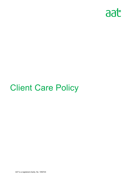

# Client Care Policy

AAT is a registered charity. No. 1050724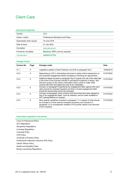# Client Care

#### **Document properties**

| Version                | V2.0                                 |
|------------------------|--------------------------------------|
| Owner / author         | Professional Standards and Policy    |
| Supersedes when issued | 19 June 2019                         |
| Date of issue          | 01 July 2022                         |
| Circulation            | www.aat.org.uk                       |
| Format for circulation | Electronic (PDF); print as required. |
| <b>Classification</b>  | <b>UNRESTICTED</b>                   |

### **Change control**

| <b>Version No.</b> | Page | Changes made                                                                                                                                                                                                                                                                                                   | <b>Date</b> |
|--------------------|------|----------------------------------------------------------------------------------------------------------------------------------------------------------------------------------------------------------------------------------------------------------------------------------------------------------------|-------------|
| V1.1               | 5    | Legislative update to Data Protection Act 2018 in paragraph 5(m)                                                                                                                                                                                                                                               | 19/06/2019  |
| V2.0               | 4    | Signposting to AAT's onboarding resources to assist critical assessment on<br>any proposed engagement before accepting or declining an appointment.                                                                                                                                                            | 01/07/2022  |
| V2.0               | 5    | Additional detail included to paragraph 5(p) to specify the role of the alternate<br>in the event of the <i>licensed member's</i> permanent incapacity or illness, who<br>will have access to the client's information held in order to make initial<br>contact with them and agree the work to be undertaken. | 01/07/2022  |
| V2.0               | 6    | Inclusion of paragraph 8 specifying the engagement letter agreed with each<br>client should be reviewed regularly and that a revised engagement letter<br>should be issued when terms are amended.                                                                                                             | 01/07/2022  |
| V2.0               | 6    | Inclusion of paragraph 9 that confirms that terms that have been agreed by<br>way of an engagement letter, must be retained, and be made available to<br>AAT representatives on request.                                                                                                                       | 01/07/2022  |
| V2.0               | 6    | More specific guidelines included in paragraph 11 in respect of what should<br>be included in a firms internal complaint procedure and inclusion of<br>paragraph 12 re consideration whether a PII provider needs to be informed<br>of the complaint.                                                          | 01/07/2022  |

#### **Associated regulations and polices**

*Code of Professional Ethics AAT Regulations Disciplinary Regulations Licensing Regulations Licensing Policy CPD Policy Continuity of Practice Policy Professional Indemnity Insurance (PII) Policy Clients' Money Policy Health and Disability Policy Money Laundering Regulations* 

*.*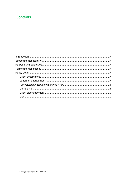## **Contents**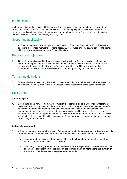## Introduction

AAT expects its members to act with the highest levels of professionalism, both in and outside of their professional lives. Clients and employers rely on AAT to take ongoing steps to consider whether a member is, and continues to be, a fit and proper person to be a member. This policy and guidance are intended to support the AAT in meeting that obligation.

## Scope and applicability

1. All *licensed members* must comply with the Provision of Services Regulations 2009. This policy applies to all licensed members providing *accountancy services* or *bookkeeping services* to clients either as a sole practitioner or as a *Principal* in a firm.

## Purpose and objectives

2. Good *client care* is central to the provision of a high-quality professional service. AAT requires every *member* providing *self-employed accountancy and/or bookkeeping services* to do so in a manner which treats clients fairly and safeguards their interests. This policy sets out the requirements for *client care* placed on licensed members providing services to the public.

## Terms and definitions

3. The website is the definitive guide to all policies currently in force. All terms in italics, save titles of publications, are interpreted in the *AAT Glossary* which supports the entire policy framework.

## Policy detail

## **Client acceptance**

4. Before taking on a new client, a *member* must take reasonable steps to understand whether any reasons exist as to why they should not take them on. Risks may include the existence of a conflict of interest, the Money Laundering Regulations cannot be satisfied, or insufficient technical competence to meet the client's needs. If such a reason is identified, unless steps can be taken to manage the issue, the engagement should be declined. AAT's onboarding resources and checklist will help form the basis of this critical assessment for any proposed engagement before accepting or declining an appointment.

## **Letters of engagement**

- 5. A *licensed member* must provide a letter of engagement to all clients before any professional work is undertaken by the member. That letter must include the following information as a minimum.
	- a) The nature of the assignment, the scope of the work to be undertaken and, the format and nature of any report which is to be delivered.
	- b) The timing of the engagement, that is the date the work is expected to start (and whether any such date is contingent on the provision by the client or others of information), the duration of the work and the dates on which reports are to be made.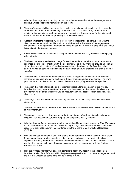- c) Whether the assignment is monthly, annual, or not recurring and whether the engagement will continue unless specifically terminated by the client.
- d) The client's responsibilities, for example, as to the production of information such as records and books and their format and timing. The client should be advised that, for example, in relation to tax compliance work the *member* will be acting only as an agent for the client and that the client is responsible for providing accurate information.
- e) A statement that the responsibility for the detection of irregularities and fraud rests with the client's management and that this would normally be outside the scope of the engagement. Nevertheless, the engagement letter should make it clear that the client is obliged to provide full information to the *licensed member.*
- f) Any liability disclaimers in relation to acting on information supplied by the client or complying with legislation.
- g) The basis, frequency, and rate of charge for services rendered together with the treatment of expenses incurred in connection with the assignment. The *member* should provide an estimate of their fees including details of hourly charging rates in the absence of a fixed fee being agreed. Any taxes payable in addition to the agreed fee or hourly charging rate should also be specified.
- h) The ownership of books and records created in the engagement and whether the *licensed member* will exercise a lien over such items if fees remain unpaid or are disputed. The firm's policy on retention, destruction and return of records should, if appropriate, be specified.
- i) The action that will be taken should a fee remain unpaid after presentation of the invoice, including the charging of interest and at what rate, the cessation of work and details of any other actions that will be taken to recover unpaid fees, for example, debt collection agencies, small claims court.
- j) The usage of the *licensed member's* work by the client for a third party with suitable liability disclaimers.
- k) The fact that the *licensed member's* AAT *licence* does not authorise them to conduct any aspect of investment work.
- l) The *licensed member's* obligations under the *Money Laundering Regulations* including due diligence, risk assessments, record keeping and suspicious activity reporting.
- m) Whether the *member* is registered with the Information Commissioner under the *Data Protection Act 2018* and details of the responsibilities and legal obligations the member has in respect of processing their data securely in accordance with the General Data Protection Regulations (GDPR).
- n) How the *licensed member* will deal with *clients' money* and how they will account to the client for any commission or other benefits received for introductions to other professionals or suppliers, including whether fees will be reduced by amounts received in this connection and/or whether the *member* will retain the commission or benefit in accordance with the *Code of Professional Ethics.*
- o) How the *licensed member* will deal with complaints about any aspect of the engagement including details of the *Principal* within the practice responsible for complaints management, and the fact that unresolved complaints can be referred to AAT.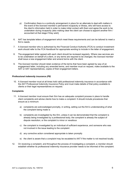- p) Confirmation there is a continuity arrangement *in place* for an alternate to deal with matters in the event of the *licensed member's* permanent incapacity or illness, who will have access to the client's information held in order to make initial contact with them and agree the work to be undertaken during incapacity (also making clear the client can choose to appoint another firm / accountant at that stage if they wish].
- 6. AAT has template letters of engagement which meet these requirements and can be tailored to meet a firm's needs.
- 7. A *licensed member* who is authorised by the Financial Conduct Authority (FCA) to conduct investment work should refer to the *[FCA Handbook](http://www.fsa.gov.uk/Pages/handbook/index.shtml)* for appropriate wording to include in the letter of engagement.
- 8. The engagement letter agreed with each client should be reviewed regularly. Where new services are to be undertaken on behalf of a client, or any terms are required to be changed, the *licensed member* shall issue a new engagement letter and amend terms with the client.
- 9. The *licensed member* should retain evidence of the terms that have been agreed by way of an engagement letter, including any amended terms, and member must on request, make available to the AAT or AAT representatives, copies of their engagement letters.

#### *Professional indemnity insurance (PII)*

10. A *licensed member* must at all times hold valid professional indemnity insurance in accordance with the AAT P*rofessional Indemnity Insurance Policy* and must make details of that policy available to clients or their legal representatives on request.

#### **Complaints**

- 11. A *licensed member* must ensure their *firm* has an adequate *complaint* process in place to handle client complaints and advise clients how to make a *complaint*. It should include procedures that ensure as a minimum:
	- a) complaints are acknowledged promptly, in writing, setting out the firm's understanding of what the complaint being made is
	- b) complaints are investigated by the *firm*, unless it can be demonstrated that the complaint is already being investigated by a professional body; the complaint is already the subject of dispute resolution; or the complaint is minor or vexatious
	- c) the complaint is investigated by an individual of sufficient experience, and someone who was not involved in the issue leading to the complaint
	- d) any corrective action considered appropriate is taken promptly
	- e) the client is aware that a *complaint* may be escalated to AAT if the matter is not resolved locally.
- 12. On receiving a complaint, and throughout the process of investigating a complaint, a *member* should establish whether its professional indemnity insurance provider needs to be informed of the complaint.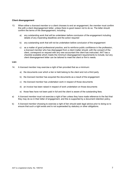#### **Client disengagement**

- 13. When either a *licensed member* or a client chooses to end an engagement, the *member* must confirm this with a client disengagement letter, unless there is good reason not to do so. The letter should confirm the terms of the disengagement, including:
	- a) any outstanding work that will be undertaken before conclusion of the engagement including details of any impending deadlines and the action required
	- b) any outstanding work that will not be undertaken before conclusion of the engagement
	- c) as a matter of good professional practice, and to reinforce public confidence in the profession, a *licensed member* who has disengaged from a client matter should, with the consent of the client, correspond on request with any new accountant the client has instructed. AAT has a checklist available which meets the minimum disengagement requirements to include, but any client disengagement letter can be tailored to meet the client or firm's needs.

#### **Lien**

- 14. A *licensed member* may exercise a right of lien provided that as a minimum:
	- a) the documents over which a lien is held belong to the client and not a third party
	- b) the *licensed member* has acquired the documents as a result of the engagement
	- c) the *licensed member* has undertaken work in respect of those documents
	- d) an invoice has been raised in respect of work undertaken on those documents
	- e) those fees have not been paid in full and the client is aware of the outstanding fees.
- a) A *licensed member* must not exercise a right of lien unless they have made reference to the fact that they may do so in their letter of engagement, and this is supported by a document retention policy.
- b) A *licensed member* choosing to exercise a right of lien should seek legal advice prior to doing so to ensure that such a right exists and is not superseded by statutory or other obligations.